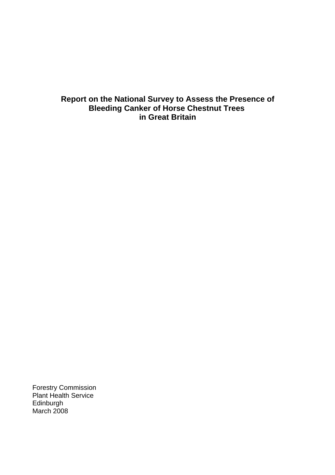## **Report on the National Survey to Assess the Presence of Bleeding Canker of Horse Chestnut Trees in Great Britain**

Forestry Commission Plant Health Service Edinburgh March 2008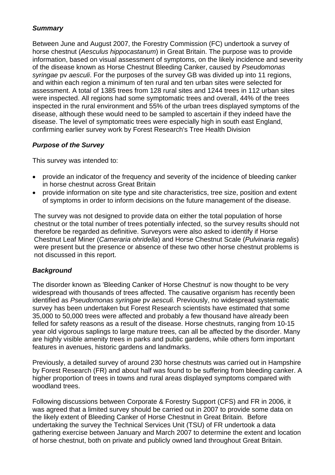### *Summary*

Between June and August 2007, the Forestry Commission (FC) undertook a survey of horse chestnut (*Aesculus hippocastanum*) in Great Britain. The purpose was to provide information, based on visual assessment of symptoms, on the likely incidence and severity of the disease known as Horse Chestnut Bleeding Canker, caused by *Pseudomonas syringae* pv *aesculi*. For the purposes of the survey GB was divided up into 11 regions, and within each region a minimum of ten rural and ten urban sites were selected for assessment. A total of 1385 trees from 128 rural sites and 1244 trees in 112 urban sites were inspected. All regions had some symptomatic trees and overall, 44% of the trees inspected in the rural environment and 55% of the urban trees displayed symptoms of the disease, although these would need to be sampled to ascertain if they indeed have the disease. The level of symptomatic trees were especially high in south east England, confirming earlier survey work by Forest Research's Tree Health Division

### *Purpose of the Survey*

This survey was intended to:

- provide an indicator of the frequency and severity of the incidence of bleeding canker in horse chestnut across Great Britain
- provide information on site type and site characteristics, tree size, position and extent of symptoms in order to inform decisions on the future management of the disease.

The survey was not designed to provide data on either the total population of horse chestnut or the total number of trees potentially infected, so the survey results should not therefore be regarded as definitive. Surveyors were also asked to identify if Horse Chestnut Leaf Miner (*Cameraria ohridella*) and Horse Chestnut Scale (*Pulvinaria regalis*) were present but the presence or absence of these two other horse chestnut problems is not discussed in this report.

### *Background*

The disorder known as 'Bleeding Canker of Horse Chestnut' is now thought to be very widespread with thousands of trees affected. The causative organism has recently been identified as *Pseudomonas syringae* pv *aesculi.* Previously, no widespread systematic survey has been undertaken but Forest Research scientists have estimated that some 35,000 to 50,000 trees were affected and probably a few thousand have already been felled for safety reasons as a result of the disease. Horse chestnuts, ranging from 10-15 year old vigorous saplings to large mature trees, can all be affected by the disorder. Many are highly visible amenity trees in parks and public gardens, while others form important features in avenues, historic gardens and landmarks.

Previously, a detailed survey of around 230 horse chestnuts was carried out in Hampshire by Forest Research (FR) and about half was found to be suffering from bleeding canker. A higher proportion of trees in towns and rural areas displayed symptoms compared with woodland trees.

Following discussions between Corporate & Forestry Support (CFS) and FR in 2006, it was agreed that a limited survey should be carried out in 2007 to provide some data on the likely extent of Bleeding Canker of Horse Chestnut in Great Britain. Before undertaking the survey the Technical Services Unit (TSU) of FR undertook a data gathering exercise between January and March 2007 to determine the extent and location of horse chestnut, both on private and publicly owned land throughout Great Britain.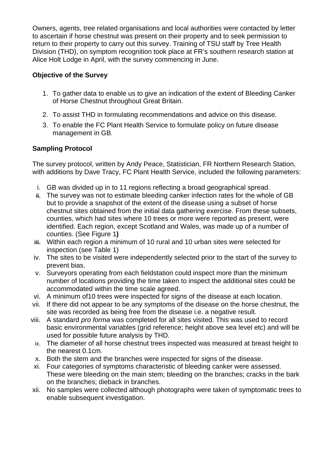Owners, agents, tree related organisations and local authorities were contacted by letter to ascertain if horse chestnut was present on their property and to seek permission to return to their property to carry out this survey. Training of TSU staff by Tree Health Division (THD), on symptom recognition took place at FR's southern research station at Alice Holt Lodge in April, with the survey commencing in June.

### **Objective of the Survey**

- 1. To gather data to enable us to give an indication of the extent of Bleeding Canker of Horse Chestnut throughout Great Britain.
- 2. To assist THD in formulating recommendations and advice on this disease.
- 3. To enable the FC Plant Health Service to formulate policy on future disease management in GB.

### **Sampling Protocol**

The survey protocol, written by Andy Peace, Statistician, FR Northern Research Station, with additions by Dave Tracy, FC Plant Health Service, included the following parameters:

- i. GB was divided up in to 11 regions reflecting a broad geographical spread.
- **ii.** The survey was not to estimate bleeding canker infection rates for the whole of GB but to provide a snapshot of the extent of the disease using a subset of horse chestnut sites obtained from the initial data gathering exercise. From these subsets, counties, which had sites where 10 trees or more were reported as present, were identified. Each region, except Scotland and Wales, was made up of a number of counties. (See Figure 1**)**
- **iii.** Within each region a minimum of 10 rural and 10 urban sites were selected for inspection (see Table 1)
- iv. The sites to be visited were independently selected prior to the start of the survey to prevent bias.
- v. Surveyors operating from each fieldstation could inspect more than the minimum number of locations providing the time taken to inspect the additional sites could be accommodated within the time scale agreed.
- vi. A minimum of10 trees were inspected for signs of the disease at each location.
- vii. If there did not appear to be any symptoms of the disease on the horse chestnut, the site was recorded as being free from the disease i.e. a negative result.
- viii. A standard *pro forma* was completed for all sites visited. This was used to record basic environmental variables (grid reference; height above sea level etc) and will be used for possible future analysis by THD.
	- ix. The diameter of all horse chestnut trees inspected was measured at breast height to the nearest 0.1cm.
	- x. Both the stem and the branches were inspected for signs of the disease.
- xi. Four categories of symptoms characteristic of bleeding canker were assessed. These were bleeding on the main stem; bleeding on the branches; cracks in the bark on the branches; dieback in branches.
- xii. No samples were collected although photographs were taken of symptomatic trees to enable subsequent investigation.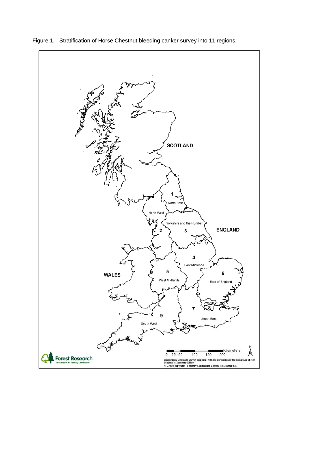

Figure 1. Stratification of Horse Chestnut bleeding canker survey into 11 regions.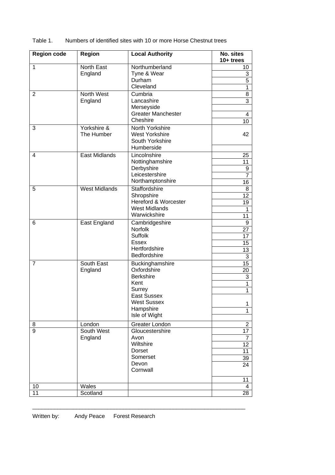| <b>Region code</b> | <b>Region</b>             | <b>Local Authority</b>                                                                                                                         | No. sites<br>$10+$ trees                         |
|--------------------|---------------------------|------------------------------------------------------------------------------------------------------------------------------------------------|--------------------------------------------------|
| $\mathbf{1}$       | North East<br>England     | Northumberland<br>Tyne & Wear<br>Durham<br>Cleveland                                                                                           | 10<br>3<br>5<br>1                                |
| $\overline{2}$     | North West<br>England     | Cumbria<br>Lancashire<br>Merseyside<br><b>Greater Manchester</b><br>Cheshire                                                                   | 8<br>$\overline{3}$<br>4                         |
| 3                  | Yorkshire &<br>The Humber | North Yorkshire<br><b>West Yorkshire</b><br>South Yorkshire<br>Humberside                                                                      | 10 <sup>1</sup><br>42                            |
| $\overline{4}$     | <b>East Midlands</b>      | Lincolnshire<br>Nottinghamshire<br>Derbyshire<br>Leicestershire<br>Northamptonshire                                                            | 25<br>11<br>9<br>7<br>16                         |
| 5                  | West Midlands             | <b>Staffordshire</b><br>Shropshire<br>Hereford & Worcester<br><b>West Midlands</b><br>Warwickshire                                             | 8<br>12 <sub>2</sub><br>19<br>1<br>11            |
| 6                  | East England              | Cambridgeshire<br>Norfolk<br><b>Suffolk</b><br>Essex<br>Hertfordshire<br>Bedfordshire                                                          | 9<br>27<br>17<br>15<br>13<br>3                   |
| $\overline{7}$     | South East<br>England     | Buckinghamshire<br>Oxfordshire<br><b>Berkshire</b><br>Kent<br>Surrey<br><b>East Sussex</b><br><b>West Sussex</b><br>Hampshire<br>Isle of Wight | 15<br>20<br>3<br>1<br>1<br>1<br>$\mathbf{1}$     |
| 8                  | London                    | Greater London                                                                                                                                 | $\mathbf{2}$                                     |
| 9                  | South West<br>England     | Gloucestershire<br>Avon<br>Wiltshire<br>Dorset<br>Somerset<br>Devon<br>Cornwall                                                                | 17<br>$\mathbf{7}$<br>12<br>11<br>39<br>24<br>11 |
| 10                 | Wales                     |                                                                                                                                                | 4                                                |
| 11                 | Scotland                  |                                                                                                                                                | 28                                               |

 $\_$  , and the set of the set of the set of the set of the set of the set of the set of the set of the set of the set of the set of the set of the set of the set of the set of the set of the set of the set of the set of th

#### Table 1. Numbers of identified sites with 10 or more Horse Chestnut trees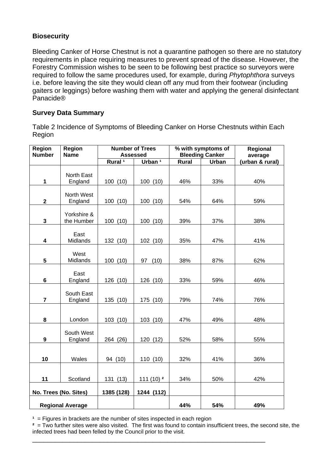### **Biosecurity**

Bleeding Canker of Horse Chestnut is not a quarantine pathogen so there are no statutory requirements in place requiring measures to prevent spread of the disease. However, the Forestry Commission wishes to be seen to be following best practice so surveyors were required to follow the same procedures used, for example, during *Phytophthora* surveys i.e. before leaving the site they would clean off any mud from their footwear (including gaiters or leggings) before washing them with water and applying the general disinfectant Panacide®

### **Survey Data Summary**

Table 2 Incidence of Symptoms of Bleeding Canker on Horse Chestnuts within Each Region

| Region                  | Region                |                    | <b>Number of Trees</b> |              | % with symptoms of     | Regional        |  |
|-------------------------|-----------------------|--------------------|------------------------|--------------|------------------------|-----------------|--|
| <b>Number</b>           | <b>Name</b>           |                    | <b>Assessed</b>        |              | <b>Bleeding Canker</b> | average         |  |
|                         |                       | Rural <sup>1</sup> | Urban <sup>1</sup>     | <b>Rural</b> | <b>Urban</b>           | (urban & rural) |  |
|                         | North East            |                    |                        |              |                        |                 |  |
| 1                       | England               | 100(10)            | 100 (10)               | 46%          | 33%                    | 40%             |  |
|                         |                       |                    |                        |              |                        |                 |  |
|                         | North West            |                    |                        |              |                        |                 |  |
| $\mathbf{2}$            | England               | 100(10)            | 100 (10)               | 54%          | 64%                    | 59%             |  |
|                         | Yorkshire &           |                    |                        |              |                        |                 |  |
| $\overline{\mathbf{3}}$ | the Humber            | 100(10)            | 100(10)                | 39%          | 37%                    | 38%             |  |
|                         |                       |                    |                        |              |                        |                 |  |
|                         | East                  |                    |                        |              |                        |                 |  |
| $\overline{\mathbf{4}}$ | Midlands              | 132 (10)           | 102 (10)               | 35%          | 47%                    | 41%             |  |
|                         |                       |                    |                        |              |                        |                 |  |
| $5\phantom{.0}$         | West<br>Midlands      | 100(10)            | 97<br>(10)             | 38%          | 87%                    | 62%             |  |
|                         |                       |                    |                        |              |                        |                 |  |
|                         | East                  |                    |                        |              |                        |                 |  |
| $\bf 6$                 | England               | 126 (10)           | 126 (10)               | 33%          | 59%                    | 46%             |  |
|                         |                       |                    |                        |              |                        |                 |  |
| $\overline{7}$          | South East            |                    |                        |              |                        |                 |  |
|                         | England               | 135 (10)           | 175 (10)               | 79%          | 74%                    | 76%             |  |
|                         |                       |                    |                        |              |                        |                 |  |
| 8                       | London                | 103(10)            | 103 (10)               | 47%          | 49%                    | 48%             |  |
|                         |                       |                    |                        |              |                        |                 |  |
|                         | South West            |                    |                        |              |                        |                 |  |
| $\boldsymbol{9}$        | England               | 264 (26)           | 120 (12)               | 52%          | 58%                    | 55%             |  |
|                         |                       |                    |                        |              |                        |                 |  |
| 10                      | Wales                 | 94 (10)            | 110 (10)               | 32%          | 41%                    | 36%             |  |
|                         |                       |                    |                        |              |                        |                 |  |
|                         |                       |                    |                        |              |                        |                 |  |
| Scotland<br>11          |                       | 131 (13)           | 111(10) <sup>2</sup>   | 34%          | 50%                    | 42%             |  |
|                         | No. Trees (No. Sites) | 1385 (128)         | 1244 (112)             |              |                        |                 |  |
|                         |                       |                    |                        |              |                        |                 |  |
| <b>Regional Average</b> |                       |                    |                        | 44%          | 54%                    | 49%             |  |

<sup>1</sup> = Figures in brackets are the number of sites inspected in each region

**²** = Two further sites were also visited. The first was found to contain insufficient trees, the second site, the infected trees had been felled by the Council prior to the visit.

\_\_\_\_\_\_\_\_\_\_\_\_\_\_\_\_\_\_\_\_\_\_\_\_\_\_\_\_\_\_\_\_\_\_\_\_\_\_\_\_\_\_\_\_\_\_\_\_\_\_\_\_\_\_\_\_\_\_\_\_\_\_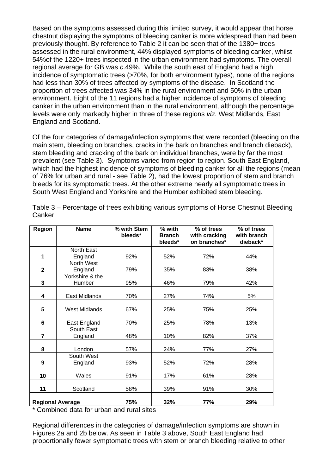Based on the symptoms assessed during this limited survey, it would appear that horse chestnut displaying the symptoms of bleeding canker is more widespread than had been previously thought. By reference to Table 2 it can be seen that of the 1380+ trees assessed in the rural environment, 44% displayed symptoms of bleeding canker, whilst 54%of the 1220+ trees inspected in the urban environment had symptoms. The overall regional average for GB was *c*.49%. While the south east of England had a high incidence of symptomatic trees (>70%, for both environment types), none of the regions had less than 30% of trees affected by symptoms of the disease. In Scotland the proportion of trees affected was 34% in the rural environment and 50% in the urban environment. Eight of the 11 regions had a higher incidence of symptoms of bleeding canker in the urban environment than in the rural environment, although the percentage levels were only markedly higher in three of these regions *viz*. West Midlands, East England and Scotland.

Of the four categories of damage/infection symptoms that were recorded (bleeding on the main stem, bleeding on branches, cracks in the bark on branches and branch dieback), stem bleeding and cracking of the bark on individual branches, were by far the most prevalent (see Table 3). Symptoms varied from region to region. South East England, which had the highest incidence of symptoms of bleeding canker for all the regions (mean of 76% for urban and rural - see Table 2), had the lowest proportion of stem and branch bleeds for its symptomatic trees. At the other extreme nearly all symptomatic trees in South West England and Yorkshire and the Humber exhibited stem bleeding.

| <b>Region</b>           | <b>Name</b>          | % with Stem<br>bleeds* | % with                   | % of trees                    | % of trees              |  |
|-------------------------|----------------------|------------------------|--------------------------|-------------------------------|-------------------------|--|
|                         |                      |                        | <b>Branch</b><br>bleeds* | with cracking<br>on branches* | with branch<br>dieback* |  |
|                         | North East           |                        |                          |                               |                         |  |
| 1                       | England              | 92%                    | 52%                      | 72%                           | 44%                     |  |
|                         | North West           |                        |                          |                               |                         |  |
| $\mathbf 2$             | England              | 79%                    | 35%                      | 83%                           | 38%                     |  |
|                         | Yorkshire & the      |                        |                          |                               |                         |  |
| 3                       | Humber               | 95%                    | 46%                      | 79%                           | 42%                     |  |
|                         |                      |                        |                          |                               |                         |  |
| 4                       | East Midlands        | 70%                    | 27%                      | 74%                           | 5%                      |  |
| 5                       | <b>West Midlands</b> | 67%                    | 25%                      | 75%                           | 25%                     |  |
| 6                       | East England         | 70%                    | 25%                      | 78%                           | 13%                     |  |
|                         | South East           |                        |                          |                               |                         |  |
| $\overline{7}$          | England              | 48%                    | 10%                      | 82%                           | 37%                     |  |
| 8                       | London               | 57%                    | 24%                      | 77%                           | 27%                     |  |
|                         | South West           |                        |                          |                               |                         |  |
| 9                       | England              | 93%                    | 52%                      | 72%                           | 28%                     |  |
| 10                      | Wales                | 91%                    | 17%                      | 61%                           | 28%                     |  |
| 11                      | Scotland             | 58%                    | 39%                      | 91%                           | 30%                     |  |
| <b>Regional Average</b> |                      | 75%                    | 32%                      | 77%                           | 29%                     |  |

Table 3 – Percentage of trees exhibiting various symptoms of Horse Chestnut Bleeding **Canker** 

\* Combined data for urban and rural sites

Regional differences in the categories of damage/infection symptoms are shown in Figures 2a and 2b below. As seen in Table 3 above, South East England had proportionally fewer symptomatic trees with stem or branch bleeding relative to other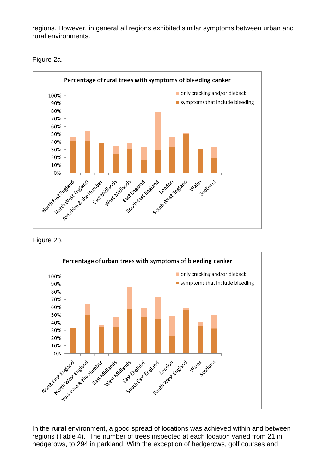regions. However, in general all regions exhibited similar symptoms between urban and rural environments.



Figure 2a.

### Figure 2b.



In the **rural** environment, a good spread of locations was achieved within and between regions (Table 4). The number of trees inspected at each location varied from 21 in hedgerows, to 294 in parkland. With the exception of hedgerows, golf courses and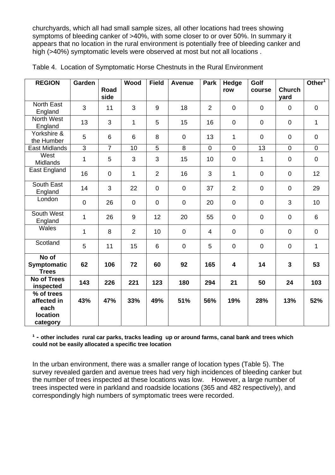churchyards, which all had small sample sizes, all other locations had trees showing symptoms of bleeding canker of >40%, with some closer to or over 50%. In summary it appears that no location in the rural environment is potentially free of bleeding canker and high (>40%) symptomatic levels were observed at most but not all locations.

| <b>REGION</b>                                                    | Garden         | Road<br>side   | Wood           | <b>Field</b>   | <b>Avenue</b>  | <b>Park</b>    | Hedge<br>row            | Golf<br>course | <b>Church</b><br>yard | Other <sup>1</sup> |
|------------------------------------------------------------------|----------------|----------------|----------------|----------------|----------------|----------------|-------------------------|----------------|-----------------------|--------------------|
| <b>North East</b><br>England                                     | 3              | 11             | 3              | 9              | 18             | $\overline{2}$ | $\mathbf 0$             | $\mathbf 0$    | $\mathbf 0$           | $\overline{0}$     |
| North West<br>England                                            | 13             | 3              | $\mathbf{1}$   | 5              | 15             | 16             | $\overline{0}$          | $\mathbf 0$    | $\overline{0}$        | $\mathbf{1}$       |
| Yorkshire &<br>the Humber                                        | 5              | 6              | 6              | 8              | $\mathbf 0$    | 13             | 1                       | $\mathbf 0$    | $\mathbf 0$           | $\mathbf 0$        |
| East Midlands                                                    | $\overline{3}$ | $\overline{7}$ | 10             | 5              | $\overline{8}$ | $\mathbf 0$    | $\overline{0}$          | 13             | $\mathbf 0$           | $\mathbf 0$        |
| West<br>Midlands                                                 | 1              | 5              | 3              | 3              | 15             | 10             | $\mathbf 0$             | 1              | $\mathbf 0$           | $\mathbf 0$        |
| East England                                                     | 16             | $\mathbf 0$    | $\mathbf{1}$   | $\overline{2}$ | 16             | 3              | $\mathbf{1}$            | $\mathbf 0$    | $\overline{0}$        | 12                 |
| South East<br>England                                            | 14             | 3              | 22             | $\overline{0}$ | $\overline{0}$ | 37             | $\overline{2}$          | $\mathbf 0$    | $\overline{0}$        | 29                 |
| London                                                           | $\mathbf 0$    | 26             | $\mathbf 0$    | $\overline{0}$ | $\mathbf 0$    | 20             | $\mathbf 0$             | $\pmb{0}$      | 3                     | 10                 |
| South West<br>England                                            | $\mathbf 1$    | 26             | 9              | 12             | 20             | 55             | $\mathbf 0$             | $\mathbf 0$    | $\mathbf 0$           | 6                  |
| Wales                                                            | 1              | 8              | $\overline{2}$ | 10             | $\overline{0}$ | $\overline{4}$ | $\mathbf 0$             | $\mathbf 0$    | $\overline{0}$        | $\overline{0}$     |
| Scotland                                                         | 5              | 11             | 15             | 6              | $\mathbf 0$    | 5              | $\mathbf 0$             | $\pmb{0}$      | $\mathbf 0$           | $\mathbf{1}$       |
| No of<br><b>Symptomatic</b><br><b>Trees</b>                      | 62             | 106            | 72             | 60             | 92             | 165            | $\overline{\mathbf{4}}$ | 14             | 3                     | 53                 |
| <b>No of Trees</b><br>inspected                                  | 143            | 226            | 221            | 123            | 180            | 294            | 21                      | 50             | 24                    | 103                |
| % of trees<br>affected in<br>each<br><b>location</b><br>category | 43%            | 47%            | 33%            | 49%            | 51%            | 56%            | 19%                     | 28%            | 13%                   | 52%                |

|  |  | Table 4. Location of Symptomatic Horse Chestnuts in the Rural Environment |
|--|--|---------------------------------------------------------------------------|
|  |  |                                                                           |

#### <sup>1</sup> - other includes rural car parks, tracks leading up or around farms, canal bank and trees which **could not be easily allocated a specific tree location**

In the urban environment, there was a smaller range of location types (Table 5). The survey revealed garden and avenue trees had very high incidences of bleeding canker but the number of trees inspected at these locations was low. However, a large number of trees inspected were in parkland and roadside locations (365 and 482 respectively), and correspondingly high numbers of symptomatic trees were recorded.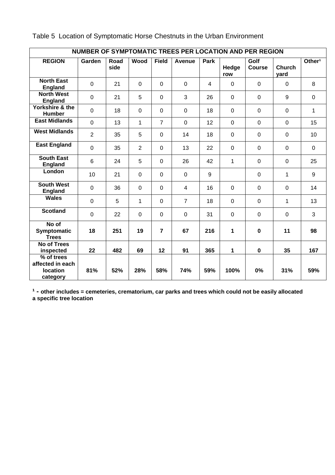| NUMBER OF SYMPTOMATIC TREES PER LOCATION AND PER REGION |                |              |                |                |                |                |                |                       |                       |                    |
|---------------------------------------------------------|----------------|--------------|----------------|----------------|----------------|----------------|----------------|-----------------------|-----------------------|--------------------|
| <b>REGION</b>                                           | Garden         | Road<br>side | Wood           | <b>Field</b>   | Avenue         | Park           | Hedge<br>row   | Golf<br><b>Course</b> | <b>Church</b><br>yard | Other <sup>1</sup> |
| <b>North East</b><br><b>England</b>                     | $\overline{0}$ | 21           | $\mathbf{0}$   | $\overline{0}$ | $\mathbf 0$    | $\overline{4}$ | $\mathbf 0$    | $\mathbf 0$           | $\mathbf 0$           | 8                  |
| <b>North West</b><br><b>England</b>                     | $\overline{0}$ | 21           | 5              | $\overline{0}$ | 3              | 26             | $\overline{0}$ | $\mathbf 0$           | 9                     | $\mathbf 0$        |
| Yorkshire & the<br><b>Humber</b>                        | $\mathbf 0$    | 18           | $\overline{0}$ | $\overline{0}$ | $\mathbf 0$    | 18             | $\overline{0}$ | $\mathbf 0$           | $\mathbf 0$           | $\mathbf{1}$       |
| <b>East Midlands</b>                                    | $\overline{0}$ | 13           | $\mathbf{1}$   | $\overline{7}$ | $\mathbf 0$    | 12             | $\overline{0}$ | $\mathbf 0$           | $\overline{0}$        | 15                 |
| <b>West Midlands</b>                                    | $\overline{2}$ | 35           | 5              | $\overline{0}$ | 14             | 18             | $\overline{0}$ | $\mathbf 0$           | $\overline{0}$        | 10                 |
| <b>East England</b>                                     | $\overline{0}$ | 35           | $\overline{2}$ | $\overline{0}$ | 13             | 22             | $\mathbf 0$    | $\mathbf 0$           | $\mathbf 0$           | $\mathbf 0$        |
| <b>South East</b><br><b>England</b>                     | 6              | 24           | 5              | $\overline{0}$ | 26             | 42             | $\mathbf{1}$   | $\mathbf 0$           | $\mathbf 0$           | 25                 |
| London                                                  | 10             | 21           | $\overline{0}$ | $\Omega$       | $\mathbf 0$    | 9              |                | $\mathbf 0$           | 1                     | 9                  |
| <b>South West</b><br><b>England</b>                     | $\mathbf 0$    | 36           | $\overline{0}$ | $\overline{0}$ | $\overline{4}$ | 16             | $\overline{0}$ | $\mathbf 0$           | $\overline{0}$        | 14                 |
| <b>Wales</b>                                            | $\overline{0}$ | 5            | $\mathbf{1}$   | $\mathbf 0$    | $\overline{7}$ | 18             | $\mathbf 0$    | $\mathbf 0$           | $\mathbf{1}$          | 13                 |
| <b>Scotland</b>                                         | $\overline{0}$ | 22           | $\overline{0}$ | $\overline{0}$ | $\mathbf 0$    | 31             | $\overline{0}$ | $\mathbf 0$           | $\mathbf 0$           | 3                  |
| No of<br>Symptomatic<br><b>Trees</b>                    | 18             | 251          | 19             | $\overline{7}$ | 67             | 216            | 1              | $\mathbf 0$           | 11                    | 98                 |
| No of Trees<br>inspected                                | 22             | 482          | 69             | 12             | 91             | 365            | 1              | $\mathbf 0$           | 35                    | 167                |
| % of trees<br>affected in each<br>location<br>category  | 81%            | 52%          | 28%            | 58%            | 74%            | 59%            | 100%           | 0%                    | 31%                   | 59%                |

Table 5 Location of Symptomatic Horse Chestnuts in the Urban Environment

<sup>1</sup> - other includes = cemeteries, crematorium, car parks and trees which could not be easily allocated **a specific tree location**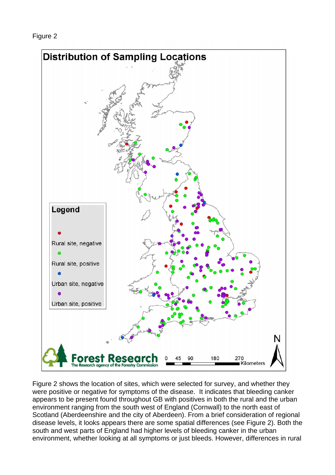Figure 2



Figure 2 shows the location of sites, which were selected for survey, and whether they were positive or negative for symptoms of the disease. It indicates that bleeding canker appears to be present found throughout GB with positives in both the rural and the urban environment ranging from the south west of England (Cornwall) to the north east of Scotland (Aberdeenshire and the city of Aberdeen). From a brief consideration of regional disease levels, it looks appears there are some spatial differences (see Figure 2). Both the south and west parts of England had higher levels of bleeding canker in the urban environment, whether looking at all symptoms or just bleeds. However, differences in rural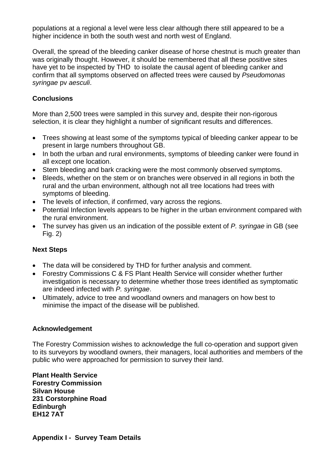populations at a regional a level were less clear although there still appeared to be a higher incidence in both the south west and north west of England.

Overall, the spread of the bleeding canker disease of horse chestnut is much greater than was originally thought. However, it should be remembered that all these positive sites have yet to be inspected by THD to isolate the causal agent of bleeding canker and confirm that all symptoms observed on affected trees were caused by *Pseudomonas syringae* pv *aesculi*.

### **Conclusions**

More than 2,500 trees were sampled in this survey and, despite their non-rigorous selection, it is clear they highlight a number of significant results and differences.

- Trees showing at least some of the symptoms typical of bleeding canker appear to be present in large numbers throughout GB.
- In both the urban and rural environments, symptoms of bleeding canker were found in all except one location.
- Stem bleeding and bark cracking were the most commonly observed symptoms.
- Bleeds, whether on the stem or on branches were observed in all regions in both the rural and the urban environment, although not all tree locations had trees with symptoms of bleeding.
- The levels of infection, if confirmed, vary across the regions.
- Potential Infection levels appears to be higher in the urban environment compared with the rural environment.
- The survey has given us an indication of the possible extent of *P. syringae* in GB (see Fig. 2)

### **Next Steps**

- The data will be considered by THD for further analysis and comment.
- Forestry Commissions C & FS Plant Health Service will consider whether further investigation is necessary to determine whether those trees identified as symptomatic are indeed infected with *P. syringae*.
- Ultimately, advice to tree and woodland owners and managers on how best to minimise the impact of the disease will be published.

### **Acknowledgement**

The Forestry Commission wishes to acknowledge the full co-operation and support given to its surveyors by woodland owners, their managers, local authorities and members of the public who were approached for permission to survey their land.

**Plant Health Service Forestry Commission Silvan House 231 Corstorphine Road Edinburgh EH12 7AT**

**Appendix I - Survey Team Details**